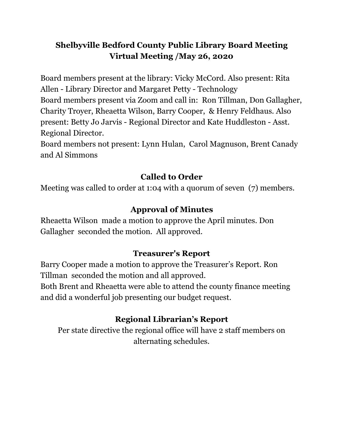## **Shelbyville Bedford County Public Library Board Meeting Virtual Meeting /May 26, 2020**

Board members present at the library: Vicky McCord. Also present: Rita Allen - Library Director and Margaret Petty - Technology Board members present via Zoom and call in: Ron Tillman, Don Gallagher, Charity Troyer, Rheaetta Wilson, Barry Cooper, & Henry Feldhaus. Also present: Betty Jo Jarvis - Regional Director and Kate Huddleston - Asst. Regional Director.

Board members not present: Lynn Hulan, Carol Magnuson, Brent Canady and Al Simmons

### **Called to Order**

Meeting was called to order at 1:04 with a quorum of seven (7) members.

## **Approval of Minutes**

Rheaetta Wilson made a motion to approve the April minutes. Don Gallagher seconded the motion. All approved.

### **Treasurer's Report**

Barry Cooper made a motion to approve the Treasurer's Report. Ron Tillman seconded the motion and all approved.

Both Brent and Rheaetta were able to attend the county finance meeting and did a wonderful job presenting our budget request.

# **Regional Librarian's Report**

Per state directive the regional office will have 2 staff members on alternating schedules.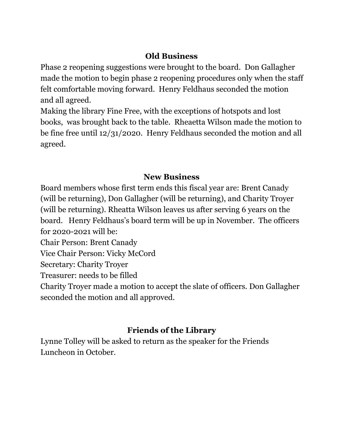### **Old Business**

Phase 2 reopening suggestions were brought to the board. Don Gallagher made the motion to begin phase 2 reopening procedures only when the staff felt comfortable moving forward. Henry Feldhaus seconded the motion and all agreed.

Making the library Fine Free, with the exceptions of hotspots and lost books, was brought back to the table. Rheaetta Wilson made the motion to be fine free until 12/31/2020. Henry Feldhaus seconded the motion and all agreed.

## **New Business**

Board members whose first term ends this fiscal year are: Brent Canady (will be returning), Don Gallagher (will be returning), and Charity Troyer (will be returning). Rheatta Wilson leaves us after serving 6 years on the board. Henry Feldhaus's board term will be up in November. The officers for 2020-2021 will be:

Chair Person: Brent Canady

Vice Chair Person: Vicky McCord

Secretary: Charity Troyer

Treasurer: needs to be filled

Charity Troyer made a motion to accept the slate of officers. Don Gallagher seconded the motion and all approved.

# **Friends of the Library**

Lynne Tolley will be asked to return as the speaker for the Friends Luncheon in October.